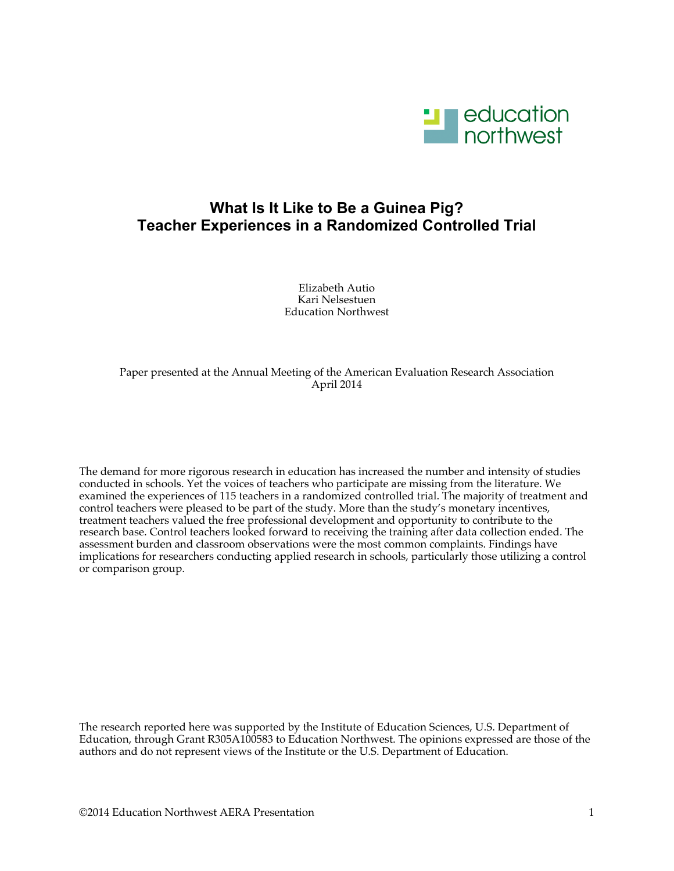

# **What Is It Like to Be a Guinea Pig? Teacher Experiences in a Randomized Controlled Trial**

Elizabeth Autio Kari Nelsestuen Education Northwest

## Paper presented at the Annual Meeting of the American Evaluation Research Association April 2014

The demand for more rigorous research in education has increased the number and intensity of studies conducted in schools. Yet the voices of teachers who participate are missing from the literature. We examined the experiences of 115 teachers in a randomized controlled trial. The majority of treatment and control teachers were pleased to be part of the study. More than the study's monetary incentives, treatment teachers valued the free professional development and opportunity to contribute to the research base. Control teachers looked forward to receiving the training after data collection ended. The assessment burden and classroom observations were the most common complaints. Findings have implications for researchers conducting applied research in schools, particularly those utilizing a control or comparison group.

The research reported here was supported by the Institute of Education Sciences, U.S. Department of Education, through Grant R305A100583 to Education Northwest. The opinions expressed are those of the authors and do not represent views of the Institute or the U.S. Department of Education.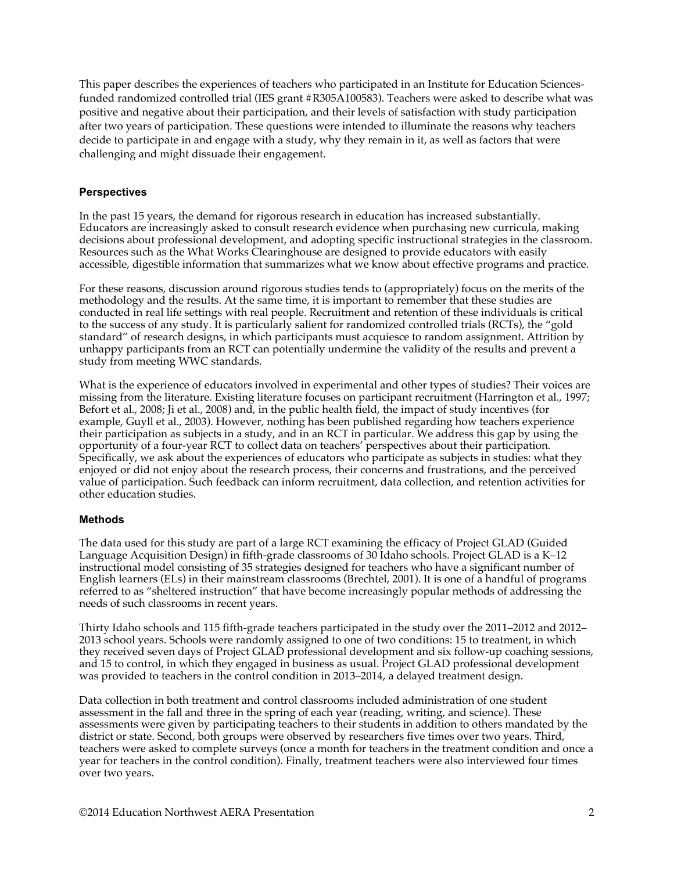This paper describes the experiences of teachers who participated in an Institute for Education Sciencesfunded randomized controlled trial (IES grant #R305A100583). Teachers were asked to describe what was positive and negative about their participation, and their levels of satisfaction with study participation after two years of participation. These questions were intended to illuminate the reasons why teachers decide to participate in and engage with a study, why they remain in it, as well as factors that were challenging and might dissuade their engagement.

# **Perspectives**

In the past 15 years, the demand for rigorous research in education has increased substantially. Educators are increasingly asked to consult research evidence when purchasing new curricula, making decisions about professional development, and adopting specific instructional strategies in the classroom. Resources such as the What Works Clearinghouse are designed to provide educators with easily accessible, digestible information that summarizes what we know about effective programs and practice.

For these reasons, discussion around rigorous studies tends to (appropriately) focus on the merits of the methodology and the results. At the same time, it is important to remember that these studies are conducted in real life settings with real people. Recruitment and retention of these individuals is critical to the success of any study. It is particularly salient for randomized controlled trials (RCTs), the "gold standard" of research designs, in which participants must acquiesce to random assignment. Attrition by unhappy participants from an RCT can potentially undermine the validity of the results and prevent a study from meeting WWC standards.

What is the experience of educators involved in experimental and other types of studies? Their voices are missing from the literature. Existing literature focuses on participant recruitment (Harrington et al., 1997; Befort et al., 2008; Ji et al., 2008) and, in the public health field, the impact of study incentives (for example, Guyll et al., 2003). However, nothing has been published regarding how teachers experience their participation as subjects in a study, and in an RCT in particular. We address this gap by using the opportunity of a four-year RCT to collect data on teachers' perspectives about their participation. Specifically, we ask about the experiences of educators who participate as subjects in studies: what they enjoyed or did not enjoy about the research process, their concerns and frustrations, and the perceived value of participation. Such feedback can inform recruitment, data collection, and retention activities for other education studies.

### **Methods**

The data used for this study are part of a large RCT examining the efficacy of Project GLAD (Guided Language Acquisition Design) in fifth-grade classrooms of 30 Idaho schools. Project GLAD is a K–12 instructional model consisting of 35 strategies designed for teachers who have a significant number of English learners (ELs) in their mainstream classrooms (Brechtel, 2001). It is one of a handful of programs referred to as "sheltered instruction" that have become increasingly popular methods of addressing the needs of such classrooms in recent years.

Thirty Idaho schools and 115 fifth-grade teachers participated in the study over the 2011–2012 and 2012– 2013 school years. Schools were randomly assigned to one of two conditions: 15 to treatment, in which they received seven days of Project GLAD professional development and six follow-up coaching sessions, and 15 to control, in which they engaged in business as usual. Project GLAD professional development was provided to teachers in the control condition in 2013–2014, a delayed treatment design.

Data collection in both treatment and control classrooms included administration of one student assessment in the fall and three in the spring of each year (reading, writing, and science). These assessments were given by participating teachers to their students in addition to others mandated by the district or state. Second, both groups were observed by researchers five times over two years. Third, teachers were asked to complete surveys (once a month for teachers in the treatment condition and once a year for teachers in the control condition). Finally, treatment teachers were also interviewed four times over two years.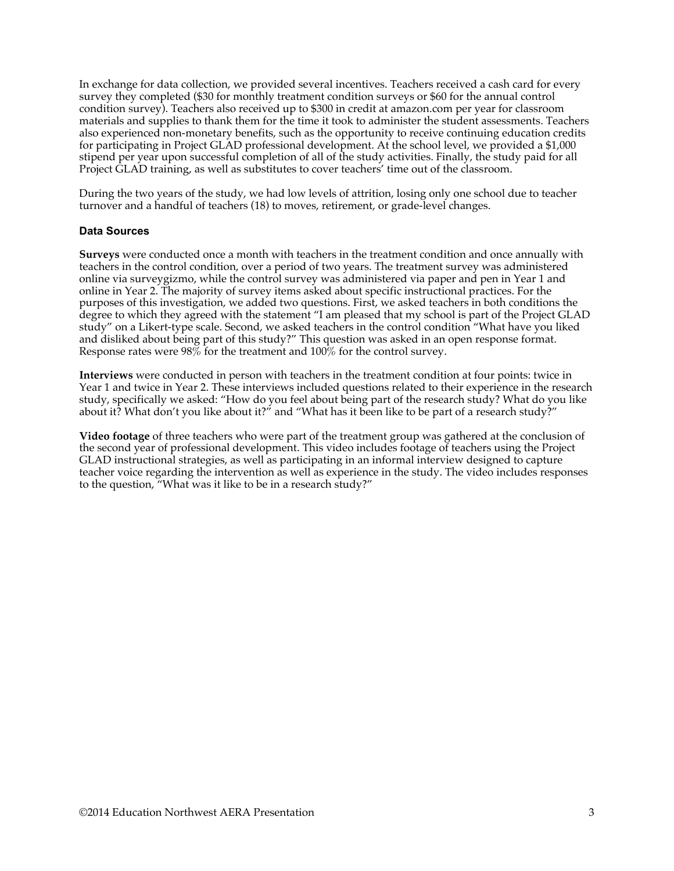In exchange for data collection, we provided several incentives. Teachers received a cash card for every survey they completed (\$30 for monthly treatment condition surveys or \$60 for the annual control condition survey). Teachers also received up to \$300 in credit at amazon.com per year for classroom materials and supplies to thank them for the time it took to administer the student assessments. Teachers also experienced non-monetary benefits, such as the opportunity to receive continuing education credits for participating in Project GLAD professional development. At the school level, we provided a \$1,000 stipend per year upon successful completion of all of the study activities. Finally, the study paid for all Project GLAD training, as well as substitutes to cover teachers' time out of the classroom.

During the two years of the study, we had low levels of attrition, losing only one school due to teacher turnover and a handful of teachers (18) to moves, retirement, or grade-level changes.

### **Data Sources**

**Surveys** were conducted once a month with teachers in the treatment condition and once annually with teachers in the control condition, over a period of two years. The treatment survey was administered online via surveygizmo, while the control survey was administered via paper and pen in Year 1 and online in Year 2. The majority of survey items asked about specific instructional practices. For the purposes of this investigation, we added two questions. First, we asked teachers in both conditions the degree to which they agreed with the statement "I am pleased that my school is part of the Project GLAD study" on a Likert-type scale. Second, we asked teachers in the control condition "What have you liked and disliked about being part of this study?" This question was asked in an open response format. Response rates were  $98\%$  for the treatment and  $100\%$  for the control survey.

**Interviews** were conducted in person with teachers in the treatment condition at four points: twice in Year 1 and twice in Year 2. These interviews included questions related to their experience in the research study, specifically we asked: "How do you feel about being part of the research study? What do you like about it? What don't you like about it?" and "What has it been like to be part of a research study?"

**Video footage** of three teachers who were part of the treatment group was gathered at the conclusion of the second year of professional development. This video includes footage of teachers using the Project GLAD instructional strategies, as well as participating in an informal interview designed to capture teacher voice regarding the intervention as well as experience in the study. The video includes responses to the question, "What was it like to be in a research study?"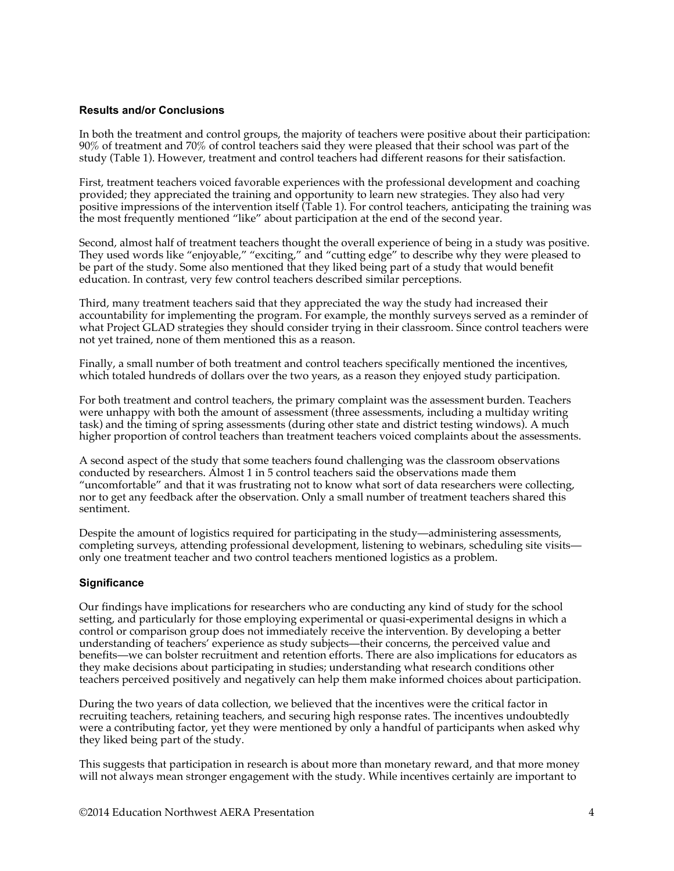#### **Results and/or Conclusions**

In both the treatment and control groups, the majority of teachers were positive about their participation: 90% of treatment and 70% of control teachers said they were pleased that their school was part of the study (Table 1). However, treatment and control teachers had different reasons for their satisfaction.

First, treatment teachers voiced favorable experiences with the professional development and coaching provided; they appreciated the training and opportunity to learn new strategies. They also had very positive impressions of the intervention itself (Table 1). For control teachers, anticipating the training was the most frequently mentioned "like" about participation at the end of the second year.

Second, almost half of treatment teachers thought the overall experience of being in a study was positive. They used words like "enjoyable," "exciting," and "cutting edge" to describe why they were pleased to be part of the study. Some also mentioned that they liked being part of a study that would benefit education. In contrast, very few control teachers described similar perceptions.

Third, many treatment teachers said that they appreciated the way the study had increased their accountability for implementing the program. For example, the monthly surveys served as a reminder of what Project GLAD strategies they should consider trying in their classroom. Since control teachers were not yet trained, none of them mentioned this as a reason.

Finally, a small number of both treatment and control teachers specifically mentioned the incentives, which totaled hundreds of dollars over the two years, as a reason they enjoyed study participation.

For both treatment and control teachers, the primary complaint was the assessment burden. Teachers were unhappy with both the amount of assessment (three assessments, including a multiday writing task) and the timing of spring assessments (during other state and district testing windows). A much higher proportion of control teachers than treatment teachers voiced complaints about the assessments.

A second aspect of the study that some teachers found challenging was the classroom observations conducted by researchers. Almost 1 in 5 control teachers said the observations made them "uncomfortable" and that it was frustrating not to know what sort of data researchers were collecting, nor to get any feedback after the observation. Only a small number of treatment teachers shared this sentiment.

Despite the amount of logistics required for participating in the study—administering assessments, completing surveys, attending professional development, listening to webinars, scheduling site visits only one treatment teacher and two control teachers mentioned logistics as a problem.

### **Significance**

Our findings have implications for researchers who are conducting any kind of study for the school setting, and particularly for those employing experimental or quasi-experimental designs in which a control or comparison group does not immediately receive the intervention. By developing a better understanding of teachers' experience as study subjects—their concerns, the perceived value and benefits—we can bolster recruitment and retention efforts. There are also implications for educators as they make decisions about participating in studies; understanding what research conditions other teachers perceived positively and negatively can help them make informed choices about participation.

During the two years of data collection, we believed that the incentives were the critical factor in recruiting teachers, retaining teachers, and securing high response rates. The incentives undoubtedly were a contributing factor, yet they were mentioned by only a handful of participants when asked why they liked being part of the study.

This suggests that participation in research is about more than monetary reward, and that more money will not always mean stronger engagement with the study. While incentives certainly are important to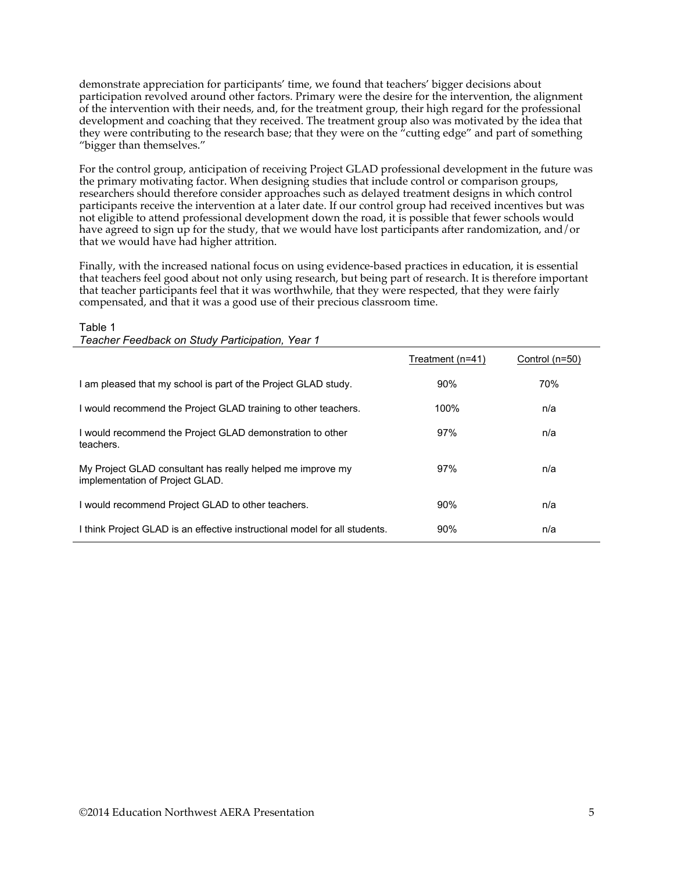demonstrate appreciation for participants' time, we found that teachers' bigger decisions about participation revolved around other factors. Primary were the desire for the intervention, the alignment of the intervention with their needs, and, for the treatment group, their high regard for the professional development and coaching that they received. The treatment group also was motivated by the idea that they were contributing to the research base; that they were on the "cutting edge" and part of something "bigger than themselves."

For the control group, anticipation of receiving Project GLAD professional development in the future was the primary motivating factor. When designing studies that include control or comparison groups, researchers should therefore consider approaches such as delayed treatment designs in which control participants receive the intervention at a later date. If our control group had received incentives but was not eligible to attend professional development down the road, it is possible that fewer schools would have agreed to sign up for the study, that we would have lost participants after randomization, and/or that we would have had higher attrition.

Finally, with the increased national focus on using evidence-based practices in education, it is essential that teachers feel good about not only using research, but being part of research. It is therefore important that teacher participants feel that it was worthwhile, that they were respected, that they were fairly compensated, and that it was a good use of their precious classroom time.

|                                                                                               | Treatment (n=41) | Control (n=50) |
|-----------------------------------------------------------------------------------------------|------------------|----------------|
| I am pleased that my school is part of the Project GLAD study.                                | 90%              | 70%            |
| I would recommend the Project GLAD training to other teachers.                                | 100%             | n/a            |
| I would recommend the Project GLAD demonstration to other<br>teachers.                        | 97%              | n/a            |
| My Project GLAD consultant has really helped me improve my<br>implementation of Project GLAD. | 97%              | n/a            |
| I would recommend Project GLAD to other teachers.                                             | 90%              | n/a            |
| I think Project GLAD is an effective instructional model for all students.                    | 90%              | n/a            |

Table 1

*Teacher Feedback on Study Participation, Year 1*

©2014 Education Northwest AERA Presentation 5